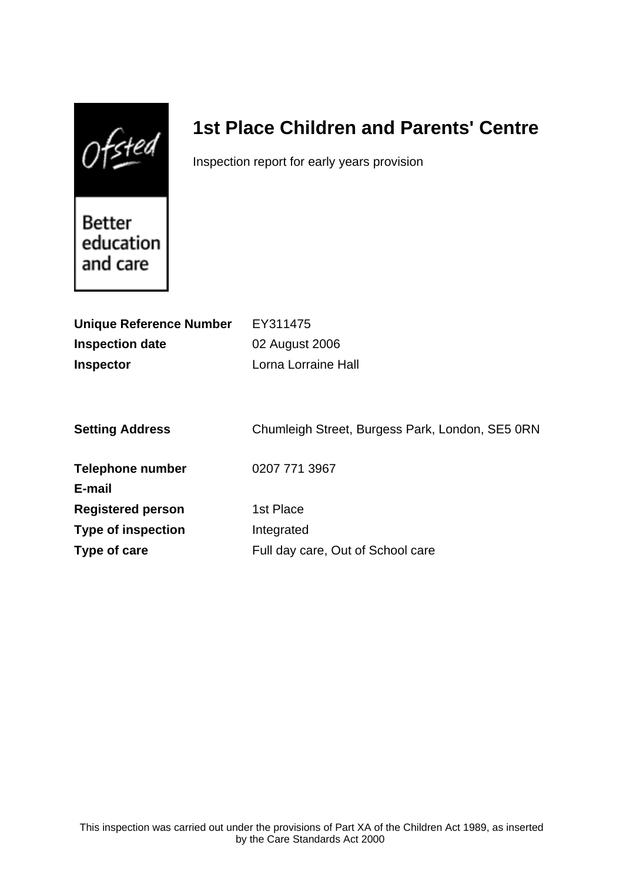$Of$ sted

# **1st Place Children and Parents' Centre**

Inspection report for early years provision

Better education and care

| <b>Unique Reference Number</b> | EY311475                                        |
|--------------------------------|-------------------------------------------------|
| <b>Inspection date</b>         | 02 August 2006                                  |
| <b>Inspector</b>               | Lorna Lorraine Hall                             |
|                                |                                                 |
|                                |                                                 |
| <b>Setting Address</b>         | Chumleigh Street, Burgess Park, London, SE5 0RN |
|                                |                                                 |
| <b>Telephone number</b>        | 0207 771 3967                                   |
| E-mail                         |                                                 |
| <b>Registered person</b>       | 1st Place                                       |
| <b>Type of inspection</b>      | Integrated                                      |
| Type of care                   | Full day care, Out of School care               |
|                                |                                                 |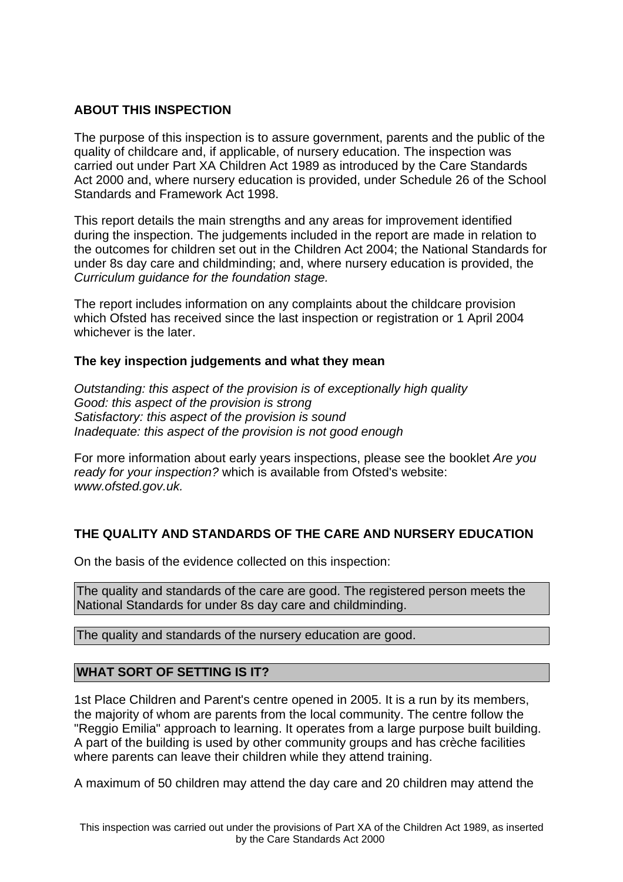## **ABOUT THIS INSPECTION**

The purpose of this inspection is to assure government, parents and the public of the quality of childcare and, if applicable, of nursery education. The inspection was carried out under Part XA Children Act 1989 as introduced by the Care Standards Act 2000 and, where nursery education is provided, under Schedule 26 of the School Standards and Framework Act 1998.

This report details the main strengths and any areas for improvement identified during the inspection. The judgements included in the report are made in relation to the outcomes for children set out in the Children Act 2004; the National Standards for under 8s day care and childminding; and, where nursery education is provided, the Curriculum guidance for the foundation stage.

The report includes information on any complaints about the childcare provision which Ofsted has received since the last inspection or registration or 1 April 2004 whichever is the later.

## **The key inspection judgements and what they mean**

Outstanding: this aspect of the provision is of exceptionally high quality Good: this aspect of the provision is strong Satisfactory: this aspect of the provision is sound Inadequate: this aspect of the provision is not good enough

For more information about early years inspections, please see the booklet Are you ready for your inspection? which is available from Ofsted's website: www.ofsted.gov.uk.

# **THE QUALITY AND STANDARDS OF THE CARE AND NURSERY EDUCATION**

On the basis of the evidence collected on this inspection:

The quality and standards of the care are good. The registered person meets the National Standards for under 8s day care and childminding.

The quality and standards of the nursery education are good.

## **WHAT SORT OF SETTING IS IT?**

1st Place Children and Parent's centre opened in 2005. It is a run by its members, the majority of whom are parents from the local community. The centre follow the "Reggio Emilia" approach to learning. It operates from a large purpose built building. A part of the building is used by other community groups and has crèche facilities where parents can leave their children while they attend training.

A maximum of 50 children may attend the day care and 20 children may attend the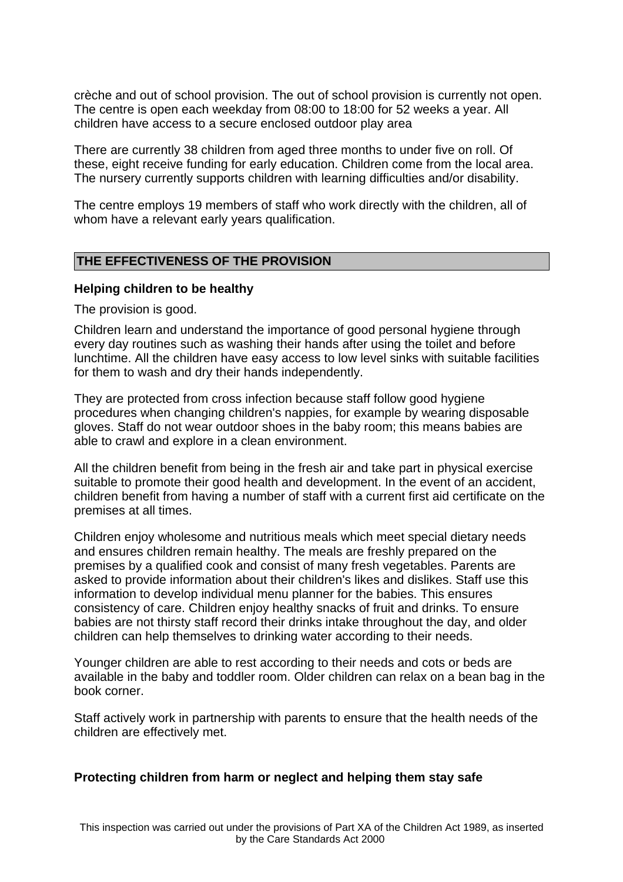crèche and out of school provision. The out of school provision is currently not open. The centre is open each weekday from 08:00 to 18:00 for 52 weeks a year. All children have access to a secure enclosed outdoor play area

There are currently 38 children from aged three months to under five on roll. Of these, eight receive funding for early education. Children come from the local area. The nursery currently supports children with learning difficulties and/or disability.

The centre employs 19 members of staff who work directly with the children, all of whom have a relevant early years qualification.

#### **THE EFFECTIVENESS OF THE PROVISION**

#### **Helping children to be healthy**

The provision is good.

Children learn and understand the importance of good personal hygiene through every day routines such as washing their hands after using the toilet and before lunchtime. All the children have easy access to low level sinks with suitable facilities for them to wash and dry their hands independently.

They are protected from cross infection because staff follow good hygiene procedures when changing children's nappies, for example by wearing disposable gloves. Staff do not wear outdoor shoes in the baby room; this means babies are able to crawl and explore in a clean environment.

All the children benefit from being in the fresh air and take part in physical exercise suitable to promote their good health and development. In the event of an accident, children benefit from having a number of staff with a current first aid certificate on the premises at all times.

Children enjoy wholesome and nutritious meals which meet special dietary needs and ensures children remain healthy. The meals are freshly prepared on the premises by a qualified cook and consist of many fresh vegetables. Parents are asked to provide information about their children's likes and dislikes. Staff use this information to develop individual menu planner for the babies. This ensures consistency of care. Children enjoy healthy snacks of fruit and drinks. To ensure babies are not thirsty staff record their drinks intake throughout the day, and older children can help themselves to drinking water according to their needs.

Younger children are able to rest according to their needs and cots or beds are available in the baby and toddler room. Older children can relax on a bean bag in the book corner.

Staff actively work in partnership with parents to ensure that the health needs of the children are effectively met.

## **Protecting children from harm or neglect and helping them stay safe**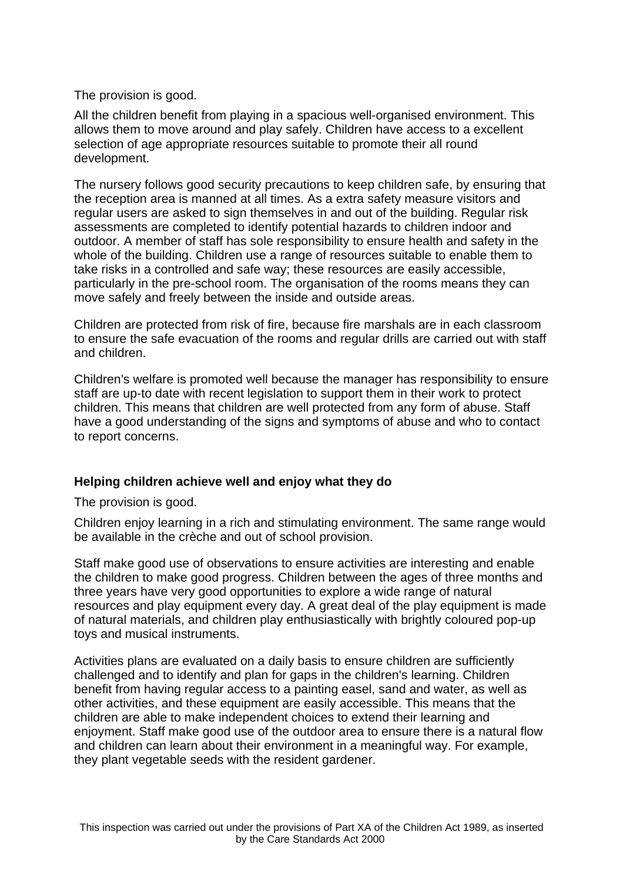The provision is good.

All the children benefit from playing in a spacious well-organised environment. This allows them to move around and play safely. Children have access to a excellent selection of age appropriate resources suitable to promote their all round development.

The nursery follows good security precautions to keep children safe, by ensuring that the reception area is manned at all times. As a extra safety measure visitors and regular users are asked to sign themselves in and out of the building. Regular risk assessments are completed to identify potential hazards to children indoor and outdoor. A member of staff has sole responsibility to ensure health and safety in the whole of the building. Children use a range of resources suitable to enable them to take risks in a controlled and safe way; these resources are easily accessible, particularly in the pre-school room. The organisation of the rooms means they can move safely and freely between the inside and outside areas.

Children are protected from risk of fire, because fire marshals are in each classroom to ensure the safe evacuation of the rooms and regular drills are carried out with staff and children.

Children's welfare is promoted well because the manager has responsibility to ensure staff are up-to date with recent legislation to support them in their work to protect children. This means that children are well protected from any form of abuse. Staff have a good understanding of the signs and symptoms of abuse and who to contact to report concerns.

## **Helping children achieve well and enjoy what they do**

The provision is good.

Children enjoy learning in a rich and stimulating environment. The same range would be available in the crèche and out of school provision.

Staff make good use of observations to ensure activities are interesting and enable the children to make good progress. Children between the ages of three months and three years have very good opportunities to explore a wide range of natural resources and play equipment every day. A great deal of the play equipment is made of natural materials, and children play enthusiastically with brightly coloured pop-up toys and musical instruments.

Activities plans are evaluated on a daily basis to ensure children are sufficiently challenged and to identify and plan for gaps in the children's learning. Children benefit from having regular access to a painting easel, sand and water, as well as other activities, and these equipment are easily accessible. This means that the children are able to make independent choices to extend their learning and enjoyment. Staff make good use of the outdoor area to ensure there is a natural flow and children can learn about their environment in a meaningful way. For example, they plant vegetable seeds with the resident gardener.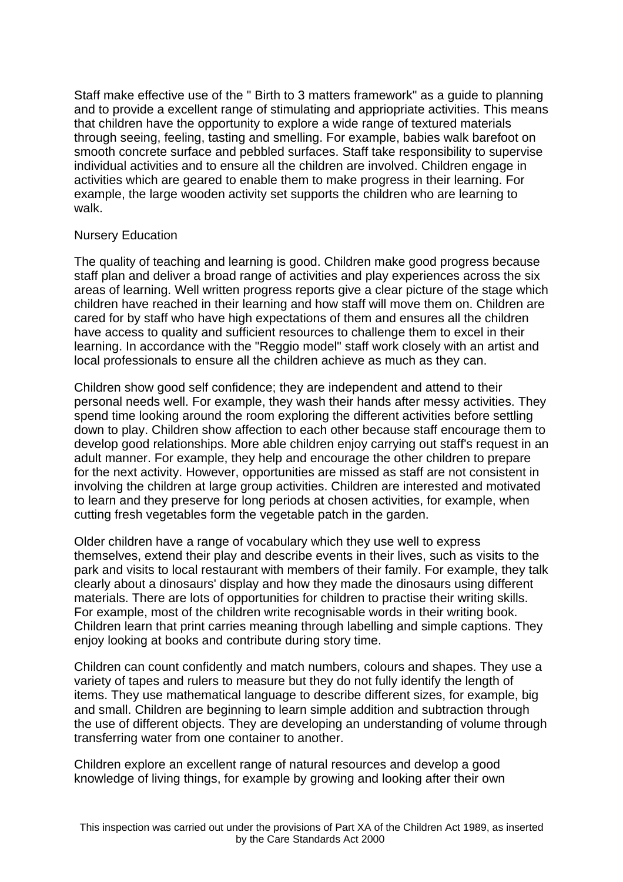Staff make effective use of the " Birth to 3 matters framework" as a guide to planning and to provide a excellent range of stimulating and appriopriate activities. This means that children have the opportunity to explore a wide range of textured materials through seeing, feeling, tasting and smelling. For example, babies walk barefoot on smooth concrete surface and pebbled surfaces. Staff take responsibility to supervise individual activities and to ensure all the children are involved. Children engage in activities which are geared to enable them to make progress in their learning. For example, the large wooden activity set supports the children who are learning to walk.

## Nursery Education

The quality of teaching and learning is good. Children make good progress because staff plan and deliver a broad range of activities and play experiences across the six areas of learning. Well written progress reports give a clear picture of the stage which children have reached in their learning and how staff will move them on. Children are cared for by staff who have high expectations of them and ensures all the children have access to quality and sufficient resources to challenge them to excel in their learning. In accordance with the "Reggio model" staff work closely with an artist and local professionals to ensure all the children achieve as much as they can.

Children show good self confidence; they are independent and attend to their personal needs well. For example, they wash their hands after messy activities. They spend time looking around the room exploring the different activities before settling down to play. Children show affection to each other because staff encourage them to develop good relationships. More able children enjoy carrying out staff's request in an adult manner. For example, they help and encourage the other children to prepare for the next activity. However, opportunities are missed as staff are not consistent in involving the children at large group activities. Children are interested and motivated to learn and they preserve for long periods at chosen activities, for example, when cutting fresh vegetables form the vegetable patch in the garden.

Older children have a range of vocabulary which they use well to express themselves, extend their play and describe events in their lives, such as visits to the park and visits to local restaurant with members of their family. For example, they talk clearly about a dinosaurs' display and how they made the dinosaurs using different materials. There are lots of opportunities for children to practise their writing skills. For example, most of the children write recognisable words in their writing book. Children learn that print carries meaning through labelling and simple captions. They enjoy looking at books and contribute during story time.

Children can count confidently and match numbers, colours and shapes. They use a variety of tapes and rulers to measure but they do not fully identify the length of items. They use mathematical language to describe different sizes, for example, big and small. Children are beginning to learn simple addition and subtraction through the use of different objects. They are developing an understanding of volume through transferring water from one container to another.

Children explore an excellent range of natural resources and develop a good knowledge of living things, for example by growing and looking after their own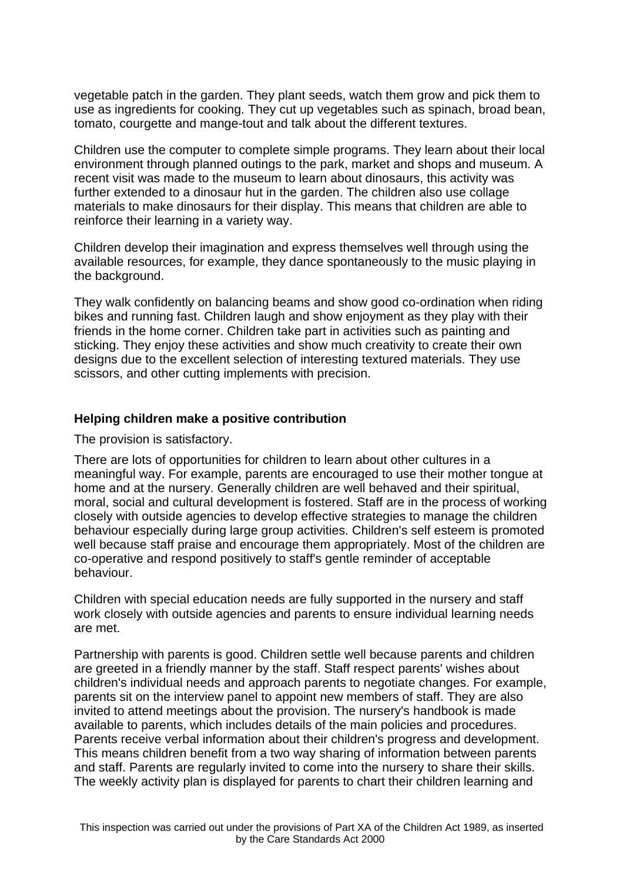vegetable patch in the garden. They plant seeds, watch them grow and pick them to use as ingredients for cooking. They cut up vegetables such as spinach, broad bean, tomato, courgette and mange-tout and talk about the different textures.

Children use the computer to complete simple programs. They learn about their local environment through planned outings to the park, market and shops and museum. A recent visit was made to the museum to learn about dinosaurs, this activity was further extended to a dinosaur hut in the garden. The children also use collage materials to make dinosaurs for their display. This means that children are able to reinforce their learning in a variety way.

Children develop their imagination and express themselves well through using the available resources, for example, they dance spontaneously to the music playing in the background.

They walk confidently on balancing beams and show good co-ordination when riding bikes and running fast. Children laugh and show enjoyment as they play with their friends in the home corner. Children take part in activities such as painting and sticking. They enjoy these activities and show much creativity to create their own designs due to the excellent selection of interesting textured materials. They use scissors, and other cutting implements with precision.

#### **Helping children make a positive contribution**

The provision is satisfactory.

There are lots of opportunities for children to learn about other cultures in a meaningful way. For example, parents are encouraged to use their mother tongue at home and at the nursery. Generally children are well behaved and their spiritual, moral, social and cultural development is fostered. Staff are in the process of working closely with outside agencies to develop effective strategies to manage the children behaviour especially during large group activities. Children's self esteem is promoted well because staff praise and encourage them appropriately. Most of the children are co-operative and respond positively to staff's gentle reminder of acceptable behaviour.

Children with special education needs are fully supported in the nursery and staff work closely with outside agencies and parents to ensure individual learning needs are met.

Partnership with parents is good. Children settle well because parents and children are greeted in a friendly manner by the staff. Staff respect parents' wishes about children's individual needs and approach parents to negotiate changes. For example, parents sit on the interview panel to appoint new members of staff. They are also invited to attend meetings about the provision. The nursery's handbook is made available to parents, which includes details of the main policies and procedures. Parents receive verbal information about their children's progress and development. This means children benefit from a two way sharing of information between parents and staff. Parents are regularly invited to come into the nursery to share their skills. The weekly activity plan is displayed for parents to chart their children learning and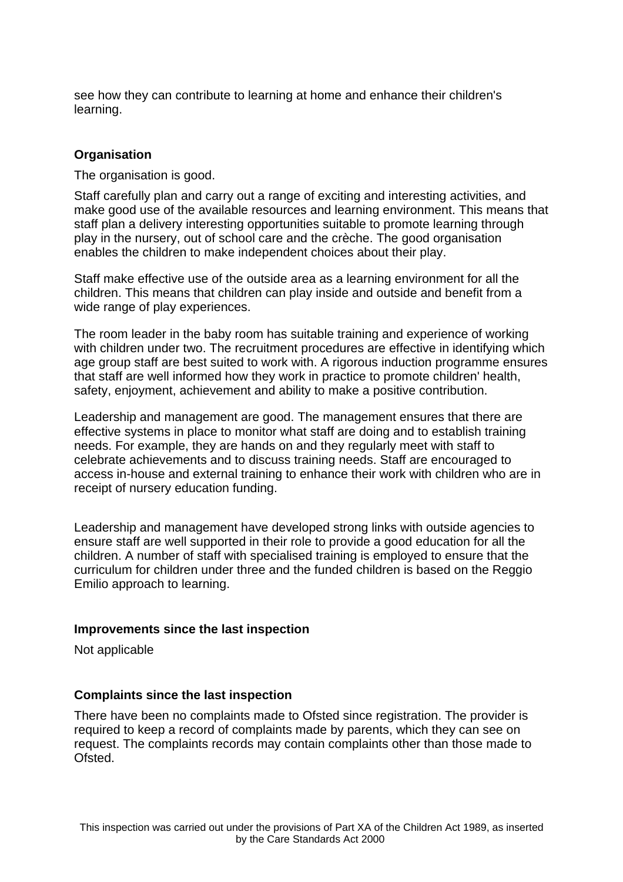see how they can contribute to learning at home and enhance their children's learning.

# **Organisation**

The organisation is good.

Staff carefully plan and carry out a range of exciting and interesting activities, and make good use of the available resources and learning environment. This means that staff plan a delivery interesting opportunities suitable to promote learning through play in the nursery, out of school care and the crèche. The good organisation enables the children to make independent choices about their play.

Staff make effective use of the outside area as a learning environment for all the children. This means that children can play inside and outside and benefit from a wide range of play experiences.

The room leader in the baby room has suitable training and experience of working with children under two. The recruitment procedures are effective in identifying which age group staff are best suited to work with. A rigorous induction programme ensures that staff are well informed how they work in practice to promote children' health, safety, enjoyment, achievement and ability to make a positive contribution.

Leadership and management are good. The management ensures that there are effective systems in place to monitor what staff are doing and to establish training needs. For example, they are hands on and they regularly meet with staff to celebrate achievements and to discuss training needs. Staff are encouraged to access in-house and external training to enhance their work with children who are in receipt of nursery education funding.

Leadership and management have developed strong links with outside agencies to ensure staff are well supported in their role to provide a good education for all the children. A number of staff with specialised training is employed to ensure that the curriculum for children under three and the funded children is based on the Reggio Emilio approach to learning.

## **Improvements since the last inspection**

Not applicable

## **Complaints since the last inspection**

There have been no complaints made to Ofsted since registration. The provider is required to keep a record of complaints made by parents, which they can see on request. The complaints records may contain complaints other than those made to Ofsted.